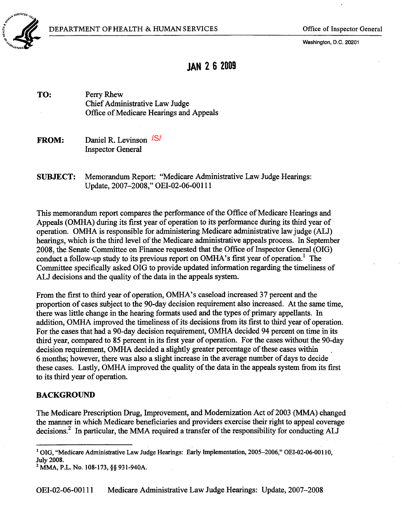

Washington, D.C. 20201

# JAN 2 6 2009

TO: Perry Rhew Chief Administrative Law Judge Office of Medicare Hearngs and Appeals

 **Daniel R. Levinson**  $\sqrt{S/I}$ Inspector General

SUBJECT: Memorandum Report: "Medicare Administrative Law Judge Hearngs: Update, 2007-2008," OEI-02-06-001 11

This memorandum report compares the performance of the Office of Medicare Hearings and Appeals (OMHA) during its first year of operation to its performance during its third year of. operation. OMHA is responsible for administering Medicare administrative law judge (ALJ) hearings, which is the third level of the Medicare administrative appeals process. In September 2008, the Senate Committee on Finance requested that the Office of Inspector General (OIG) conduct a follow-up study to its previous report on OMHA's first year of operation.<sup>1</sup> [Th](#page-0-0)e Committee specifically asked OIG to provide updated information regarding the timeliness of ALJ decisions and the quality of the data in the appeals system.

From the first to third year of operation, OMR's caseload increased 37 percent and the proportion of cases subject to the 90-day decision requirement also increased. At the same time, there was little change in the hearing formats used and the types of primary appellants. In addition, OMHA improved the timeliness of its decisions from its first to thrd year of operation. For the cases that had a 90-day decision requirement, OMRA decided 94 percent on time in its third year, compared to 85 percent in its first year of operation. For the cases without the 90-day decision requirement, OMHA decided a slightly greater percentage of these cases within 6 months; however, there was also a slight increase in the average number of days to decide these cases. Lastly, OMHA improved the quality of the data in the appeals system from its first to its third year of operation.

#### **BACKGROUND**

The Medicare Prescription Drug, Improvement, and Modernization Act of 2003 (MMA) changed the manner in which Medicare beneficiaries and providers exercise their right to appeal coverage decisions.<sup>2</sup> In particu[la](#page-0-1)r, the MMA required a transfer of the responsibility for conducting ALJ

OEI-02-06-00111 Medicare Adminstrative Law Judge Hearngs: Update, 2007-2008

<span id="page-0-0"></span><sup>&</sup>lt;sup>1</sup> OIG, "Medicare Administrative Law Judge Hearings: Early Implementation, 2005-2006," OEI-02-06-00110, July 2008.<br><sup>2</sup> MMA, P.L. No. 108-173, §§ 931-940A.

<span id="page-0-1"></span>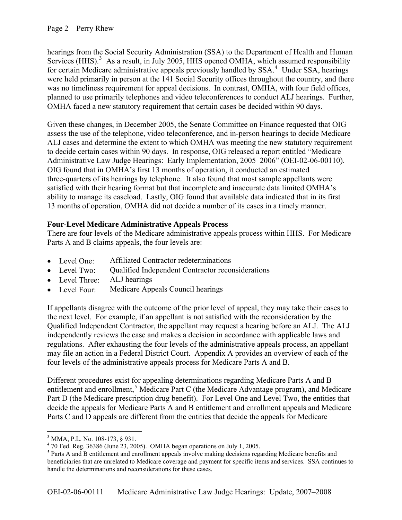hearings from the Social Security Administration (SSA) to the Department of Health and Human Services (HHS).<sup>[3](#page-1-0)</sup> As a result, in July 2005, HHS opened OMHA, which assumed responsibility for certain Medicare administrative appeals previously handled by SSA.<sup>[4](#page-1-1)</sup> Under SSA, hearings were held primarily in person at the 141 Social Security offices throughout the country, and there was no timeliness requirement for appeal decisions. In contrast, OMHA, with four field offices, planned to use primarily telephones and video teleconferences to conduct ALJ hearings. Further, OMHA faced a new statutory requirement that certain cases be decided within 90 days.

Given these changes, in December 2005, the Senate Committee on Finance requested that OIG assess the use of the telephone, video teleconference, and in-person hearings to decide Medicare ALJ cases and determine the extent to which OMHA was meeting the new statutory requirement to decide certain cases within 90 days. In response, OIG released a report entitled "Medicare Administrative Law Judge Hearings: Early Implementation, 2005–2006" (OEI-02-06-00110). OIG found that in OMHA's first 13 months of operation, it conducted an estimated three-quarters of its hearings by telephone. It also found that most sample appellants were satisfied with their hearing format but that incomplete and inaccurate data limited OMHA's ability to manage its caseload. Lastly, OIG found that available data indicated that in its first 13 months of operation, OMHA did not decide a number of its cases in a timely manner.

# **Four-Level Medicare Administrative Appeals Process**

There are four levels of the Medicare administrative appeals process within HHS. For Medicare Parts A and B claims appeals, the four levels are:

- Level One: Affiliated Contractor redeterminations
- Level Two: Qualified Independent Contractor reconsiderations
- Level Three: ALJ hearings
- Level Four: Medicare Appeals Council hearings

If appellants disagree with the outcome of the prior level of appeal, they may take their cases to the next level. For example, if an appellant is not satisfied with the reconsideration by the Qualified Independent Contractor, the appellant may request a hearing before an ALJ. The ALJ independently reviews the case and makes a decision in accordance with applicable laws and regulations. After exhausting the four levels of the administrative appeals process, an appellant may file an action in a Federal District Court. Appendix A provides an overview of each of the four levels of the administrative appeals process for Medicare Parts A and B.

Different procedures exist for appealing determinations regarding Medicare Parts A and B entitlement and enrollment,<sup>[5](#page-1-2)</sup> Medicare Part C (the Medicare Advantage program), and Medicare Part D (the Medicare prescription drug benefit). For Level One and Level Two, the entities that decide the appeals for Medicare Parts A and B entitlement and enrollment appeals and Medicare Parts C and D appeals are different from the entities that decide the appeals for Medicare

 $\overline{a}$ <sup>3</sup> MMA, P.L. No. 108-173, § 931.

<span id="page-1-1"></span><span id="page-1-0"></span> $4\,$  70 Fed. Reg. 36386 (June 23, 2005). OMHA began operations on July 1, 2005.

<span id="page-1-2"></span><sup>&</sup>lt;sup>5</sup> Parts A and B entitlement and enrollment appeals involve making decisions regarding Medicare benefits and beneficiaries that are unrelated to Medicare coverage and payment for specific items and services. SSA continues to handle the determinations and reconsiderations for these cases.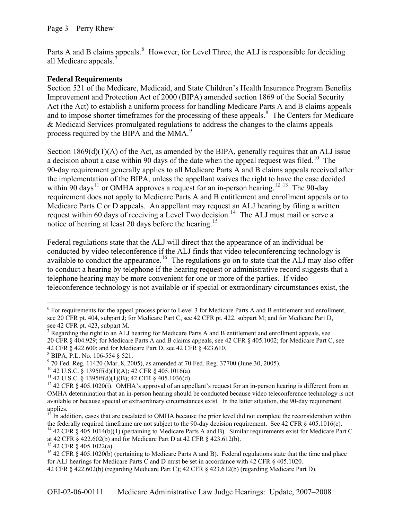Parts A and B claims appeals.<sup>[6](#page-2-0)</sup> However, for Level Three, the ALJ is responsible for deciding all Medicare appeals.<sup>7</sup>

# **Federal Requirements**

Section 521 of the Medicare, Medicaid, and State Children's Health Insurance Program Benefits Improvement and Protection Act of 2000 (BIPA) amended section 1869 of the Social Security Act (the Act) to establish a uniform process for handling Medicare Parts A and B claims appeals and to impose shorter timeframes for the processing of these appeals.<sup>[8](#page-2-1)</sup> The Centers for Medicare & Medicaid Services promulgated regulations to address the changes to the claims appeals process required by the BIPA and the MMA.<sup>[9](#page-2-2)</sup>

notice of hearing at least 20 days before the hearing.<sup>15</sup> Section  $1869(d)(1)(A)$  of the Act, as amended by the BIPA, generally requires that an ALJ issue a decision about a case within 90 days of the date when the appeal request was filed.<sup>[10](#page-2-3)</sup> The 90-day requirement generally applies to all Medicare Parts A and B claims appeals received after the implementation of the BIPA, unless the appellant waives the right to have the case decided within 90 days<sup>[11](#page-2-4)</sup> or OMHA approves a request for an in-person hearing.<sup>[12](#page-2-5) [13](#page-2-6)</sup> The 90-day requirement does not apply to Medicare Parts A and B entitlement and enrollment appeals or to Medicare Parts C or D appeals. An appellant may request an ALJ hearing by filing a written request within 60 days of receiving a Level Two decision.<sup>[14](#page-2-7)</sup> The ALJ must mail or serve a

Federal regulations state that the ALJ will direct that the appearance of an individual be conducted by video teleconference if the ALJ finds that video teleconferencing technology is available to conduct the appearance.<sup>[16](#page-2-8)</sup> The regulations go on to state that the ALJ may also offer to conduct a hearing by telephone if the hearing request or administrative record suggests that a telephone hearing may be more convenient for one or more of the parties. If video teleconference technology is not available or if special or extraordinary circumstances exist, the

 $\overline{a}$ 

<span id="page-2-0"></span><sup>&</sup>lt;sup>6</sup> For requirements for the appeal process prior to Level 3 for Medicare Parts A and B entitlement and enrollment, see 20 CFR pt. 404, subpart J; for Medicare Part C, see 42 CFR pt. 422, subpart M; and for Medicare Part D, see 42 CFR pt. 423, subpart M.

 $<sup>7</sup>$  Regarding the right to an ALJ hearing for Medicare Parts A and B entitlement and enrollment appeals, see</sup> 20 CFR § 404.929; for Medicare Parts A and B claims appeals, see 42 CFR § 405.1002; for Medicare Part C, see 42 CFR § 422.600; and for Medicare Part D, see 42 CFR § 423.610.

<span id="page-2-1"></span><sup>8</sup> BIPA, P.L. No. 106-554 § 521.

<span id="page-2-2"></span><sup>&</sup>lt;sup>9</sup> 70 Fed. Reg. 11420 (Mar. 8, 2005), as amended at 70 Fed. Reg. 37700 (June 30, 2005).<br><sup>10</sup> 42 U.S.C. § 1395ff(d)(1)(A); 42 CFR § 405.1016(a).

<span id="page-2-3"></span>

<span id="page-2-4"></span> $11$  42 U.S.C. § 1395ff(d)(1)(B); 42 CFR § 405.1036(d).

<span id="page-2-5"></span><sup>&</sup>lt;sup>12</sup> 42 CFR § 405.1020(i). OMHA's approval of an appellant's request for an in-person hearing is different from an OMHA determination that an in-person hearing should be conducted because video teleconference technology is not available or because special or extraordinary circumstances exist. In the latter situation, the 90-day requirement applies.

<span id="page-2-6"></span> $13$  In addition, cases that are escalated to OMHA because the prior level did not complete the reconsideration within the federally required timeframe are not subject to the 90-day decision requirement. See 42 CFR § 405.1016(c). 14 42 CFR § 405.1014(b)(1) (pertaining to Medicare Parts A and B). Similar requirements exist for Medicare Part C

<span id="page-2-7"></span>

at 42 CFR § 422.602(b) and for Medicare Part D at 42 CFR § 423.612(b).

 $15$  42 CFR § 405.1022(a).

<span id="page-2-8"></span><sup>&</sup>lt;sup>16</sup> 42 CFR  $\check{S}$  405.1020(b) (pertaining to Medicare Parts A and B). Federal regulations state that the time and place for ALJ hearings for Medicare Parts C and D must be set in accordance with 42 CFR § 405.1020.

<sup>42</sup> CFR § 422.602(b) (regarding Medicare Part C); 42 CFR § 423.612(b) (regarding Medicare Part D).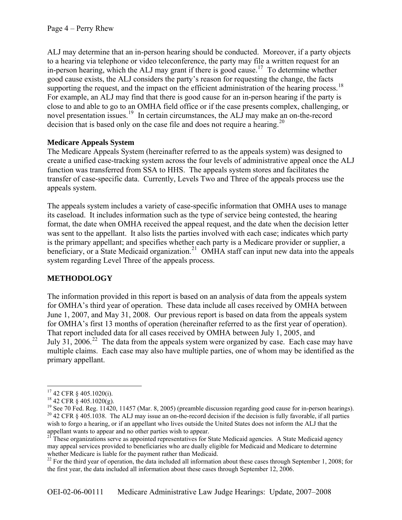ALJ may determine that an in-person hearing should be conducted. Moreover, if a party objects to a hearing via telephone or video teleconference, the party may file a written request for an in-person hearing, which the ALJ may grant if there is good cause.<sup>[17](#page-3-0)</sup> To determine whether good cause exists, the ALJ considers the party's reason for requesting the change, the facts supporting the request, and the impact on the efficient administration of the hearing process.<sup>[18](#page-3-1)</sup> For example, an ALJ may find that there is good cause for an in-person hearing if the party is close to and able to go to an OMHA field office or if the case presents complex, challenging, or novel presentation issues.<sup>[19](#page-3-2)</sup> In certain circumstances, the ALJ may make an on-the-record decision that is based only on the case file and does not require a hearing.<sup>20</sup>

# **Medicare Appeals System**

The Medicare Appeals System (hereinafter referred to as the appeals system) was designed to create a unified case-tracking system across the four levels of administrative appeal once the ALJ function was transferred from SSA to HHS. The appeals system stores and facilitates the transfer of case-specific data. Currently, Levels Two and Three of the appeals process use the appeals system.

The appeals system includes a variety of case-specific information that OMHA uses to manage its caseload. It includes information such as the type of service being contested, the hearing format, the date when OMHA received the appeal request, and the date when the decision letter was sent to the appellant. It also lists the parties involved with each case; indicates which party is the primary appellant; and specifies whether each party is a Medicare provider or supplier, a beneficiary, or a State Medicaid organization.<sup>[21](#page-3-3)</sup> OMHA staff can input new data into the appeals system regarding Level Three of the appeals process.

# **METHODOLOGY**

The information provided in this report is based on an analysis of data from the appeals system for OMHA's third year of operation. These data include all cases received by OMHA between June 1, 2007, and May 31, 2008. Our previous report is based on data from the appeals system for OMHA's first 13 months of operation (hereinafter referred to as the first year of operation). That report included data for all cases received by OMHA between July 1, 2005, and July 31, 2006.<sup>[22](#page-3-4)</sup> The data from the appeals system were organized by case. Each case may have multiple claims. Each case may also have multiple parties, one of whom may be identified as the primary appellant.

 $\overline{a}$ 

<span id="page-3-0"></span><sup>17 42</sup> CFR § 405.1020(i).

<span id="page-3-1"></span> $18$  42 CFR § 405.1020(g).

<span id="page-3-2"></span><sup>&</sup>lt;sup>19</sup> See 70 Fed. Reg. 11420, 11457 (Mar. 8, 2005) (preamble discussion regarding good cause for in-person hearings).  $20$  42 CFR § 405.1038. The ALJ may issue an on-the-record decision if the decision is fully favorable, if all parties wish to forgo a hearing, or if an appellant who lives outside the United States does not inform the ALJ that the appellant wants to appear and no other parties wish to appear.

<span id="page-3-3"></span><sup>&</sup>lt;sup>21</sup> These organizations serve as appointed representatives for State Medicaid agencies. A State Medicaid agency may appeal services provided to beneficiaries who are dually eligible for Medicaid and Medicare to determine whether Medicare is liable for the payment rather than Medicaid.

<span id="page-3-4"></span> $22$  For the third year of operation, the data included all information about these cases through September 1, 2008; for the first year, the data included all information about these cases through September 12, 2006.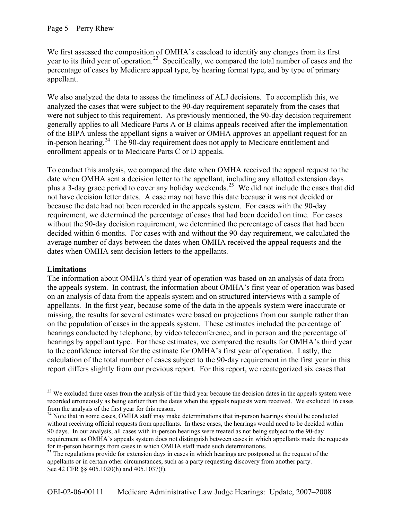We first assessed the composition of OMHA's caseload to identify any changes from its first year to its third year of operation.<sup>[23](#page-4-0)</sup> Specifically, we compared the total number of cases and the percentage of cases by Medicare appeal type, by hearing format type, and by type of primary appellant.

We also analyzed the data to assess the timeliness of ALJ decisions. To accomplish this, we analyzed the cases that were subject to the 90-day requirement separately from the cases that were not subject to this requirement. As previously mentioned, the 90-day decision requirement generally applies to all Medicare Parts A or B claims appeals received after the implementation of the BIPA unless the appellant signs a waiver or OMHA approves an appellant request for an in-person hearing.[24](#page-4-1) The 90-day requirement does not apply to Medicare entitlement and enrollment appeals or to Medicare Parts C or D appeals.

To conduct this analysis, we compared the date when OMHA received the appeal request to the date when OMHA sent a decision letter to the appellant, including any allotted extension days plus a 3-day grace period to cover any holiday weekends.[25](#page-4-2) We did not include the cases that did not have decision letter dates. A case may not have this date because it was not decided or because the date had not been recorded in the appeals system. For cases with the 90-day requirement, we determined the percentage of cases that had been decided on time. For cases without the 90-day decision requirement, we determined the percentage of cases that had been decided within 6 months. For cases with and without the 90-day requirement, we calculated the average number of days between the dates when OMHA received the appeal requests and the dates when OMHA sent decision letters to the appellants.

### **Limitations**

 $\overline{a}$ 

The information about OMHA's third year of operation was based on an analysis of data from the appeals system. In contrast, the information about OMHA's first year of operation was based on an analysis of data from the appeals system and on structured interviews with a sample of appellants. In the first year, because some of the data in the appeals system were inaccurate or missing, the results for several estimates were based on projections from our sample rather than on the population of cases in the appeals system. These estimates included the percentage of hearings conducted by telephone, by video teleconference, and in person and the percentage of hearings by appellant type. For these estimates, we compared the results for OMHA's third year to the confidence interval for the estimate for OMHA's first year of operation. Lastly, the calculation of the total number of cases subject to the 90-day requirement in the first year in this report differs slightly from our previous report. For this report, we recategorized six cases that

<span id="page-4-0"></span><sup>&</sup>lt;sup>23</sup> We excluded three cases from the analysis of the third year because the decision dates in the appeals system were recorded erroneously as being earlier than the dates when the appeals requests were received. We excluded 16 cases from the analysis of the first year for this reason.

<span id="page-4-1"></span><sup>&</sup>lt;sup>24</sup> Note that in some cases, OMHA staff may make determinations that in-person hearings should be conducted without receiving official requests from appellants. In these cases, the hearings would need to be decided within 90 days. In our analysis, all cases with in-person hearings were treated as not being subject to the 90-day requirement as OMHA's appeals system does not distinguish between cases in which appellants made the requests for in-person hearings from cases in which OMHA staff made such determinations.

<span id="page-4-2"></span><sup>&</sup>lt;sup>25</sup> The regulations provide for extension days in cases in which hearings are postponed at the request of the appellants or in certain other circumstances, such as a party requesting discovery from another party. See 42 CFR §§ 405.1020(h) and 405.1037(f).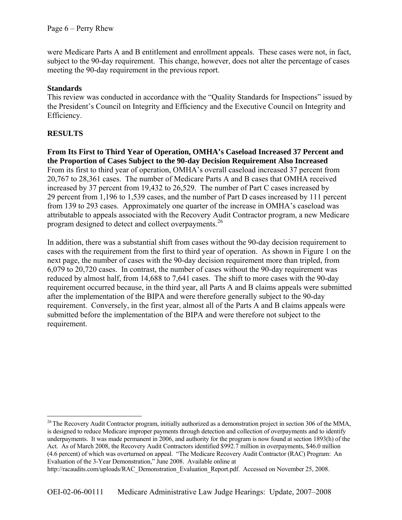were Medicare Parts A and B entitlement and enrollment appeals. These cases were not, in fact, subject to the 90-day requirement. This change, however, does not alter the percentage of cases meeting the 90-day requirement in the previous report.

# **Standards**

This review was conducted in accordance with the "Quality Standards for Inspections" issued by the President's Council on Integrity and Efficiency and the Executive Council on Integrity and Efficiency.

# **RESULTS**

 $\overline{a}$ 

**From Its First to Third Year of Operation, OMHA's Caseload Increased 37 Percent and the Proportion of Cases Subject to the 90-day Decision Requirement Also Increased**  From its first to third year of operation, OMHA's overall caseload increased 37 percent from 20,767 to 28,361 cases. The number of Medicare Parts A and B cases that OMHA received increased by 37 percent from 19,432 to 26,529. The number of Part C cases increased by 29 percent from 1,196 to 1,539 cases, and the number of Part D cases increased by 111 percent from 139 to 293 cases. Approximately one quarter of the increase in OMHA's caseload was attributable to appeals associated with the Recovery Audit Contractor program, a new Medicare program designed to detect and collect overpayments.<sup>[26](#page-5-0)</sup>

In addition, there was a substantial shift from cases without the 90-day decision requirement to cases with the requirement from the first to third year of operation. As shown in Figure 1 on the next page, the number of cases with the 90-day decision requirement more than tripled, from 6,079 to 20,720 cases. In contrast, the number of cases without the 90-day requirement was reduced by almost half, from 14,688 to 7,641 cases. The shift to more cases with the 90-day requirement occurred because, in the third year, all Parts A and B claims appeals were submitted after the implementation of the BIPA and were therefore generally subject to the 90-day requirement. Conversely, in the first year, almost all of the Parts A and B claims appeals were submitted before the implementation of the BIPA and were therefore not subject to the requirement.

<span id="page-5-0"></span><sup>&</sup>lt;sup>26</sup> The Recovery Audit Contractor program, initially authorized as a demonstration project in section 306 of the MMA, is designed to reduce Medicare improper payments through detection and collection of overpayments and to identify underpayments. It was made permanent in 2006, and authority for the program is now found at section 1893(h) of the Act. As of March 2008, the Recovery Audit Contractors identified \$992.7 million in overpayments, \$46.0 million (4.6 percent) of which was overturned on appeal. "The Medicare Recovery Audit Contractor (RAC) Program: An Evaluation of the 3-Year Demonstration," June 2008. Available online at

http://racaudits.com/uploads/RAC\_Demonstration\_Evaluation\_Report.pdf. Accessed on November 25, 2008.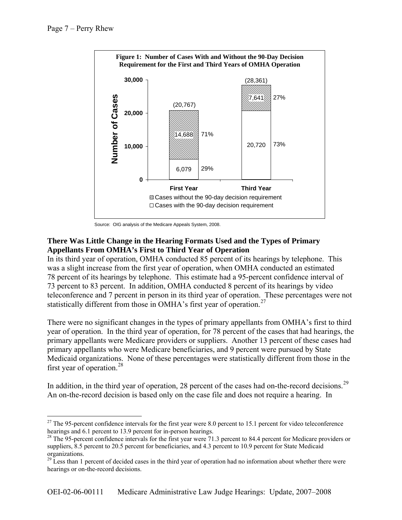

Source: OIG analysis of the Medicare Appeals System, 2008.

# **There Was Little Change in the Hearing Formats Used and the Types of Primary Appellants From OMHA's First to Third Year of Operation**

In its third year of operation, OMHA conducted 85 percent of its hearings by telephone. This was a slight increase from the first year of operation, when OMHA conducted an estimated 78 percent of its hearings by telephone. This estimate had a 95-percent confidence interval of 73 percent to 83 percent. In addition, OMHA conducted 8 percent of its hearings by video teleconference and 7 percent in person in its third year of operation. These percentages were not statistically different from those in OMHA's first year of operation.<sup>[27](#page-6-0)</sup>

There were no significant changes in the types of primary appellants from OMHA's first to third year of operation. In the third year of operation, for 78 percent of the cases that had hearings, the primary appellants were Medicare providers or suppliers. Another 13 percent of these cases had primary appellants who were Medicare beneficiaries, and 9 percent were pursued by State Medicaid organizations. None of these percentages were statistically different from those in the first year of operation. $28$ 

In addition, in the third year of operation, 28 percent of the cases had on-the-record decisions.<sup>[29](#page-6-2)</sup> An on-the-record decision is based only on the case file and does not require a hearing. In

<span id="page-6-0"></span><sup>&</sup>lt;u>.</u> <sup>27</sup> The 95-percent confidence intervals for the first year were 8.0 percent to 15.1 percent for video teleconference hearings and 6.1 percent to 13.9 percent for in-person hearings.

<span id="page-6-1"></span><sup>&</sup>lt;sup>28</sup> The 95-percent confidence intervals for the first year were 71.3 percent to 84.4 percent for Medicare providers or suppliers, 8.5 percent to 20.5 percent for beneficiaries, and 4.3 percent to 10.9 percent for State Medicaid organizations.

<span id="page-6-2"></span> $29$  Less than 1 percent of decided cases in the third year of operation had no information about whether there were hearings or on-the-record decisions.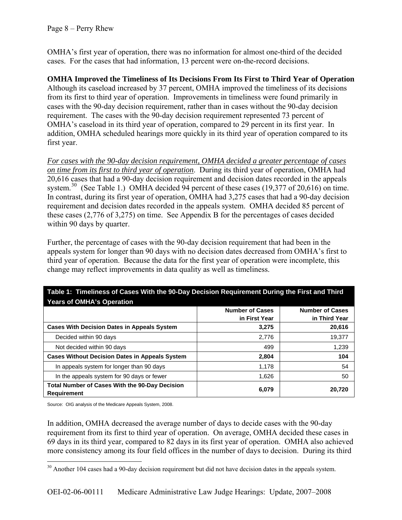OMHA's first year of operation, there was no information for almost one-third of the decided cases. For the cases that had information, 13 percent were on-the-record decisions.

### **OMHA Improved the Timeliness of Its Decisions From Its First to Third Year of Operation**

Although its caseload increased by 37 percent, OMHA improved the timeliness of its decisions from its first to third year of operation. Improvements in timeliness were found primarily in cases with the 90-day decision requirement, rather than in cases without the 90-day decision requirement. The cases with the 90-day decision requirement represented 73 percent of OMHA's caseload in its third year of operation, compared to 29 percent in its first year. In addition, OMHA scheduled hearings more quickly in its third year of operation compared to its first year.

*For cases with the 90-day decision requirement, OMHA decided a greater percentage of cases on time from its first to third year of operation*. During its third year of operation, OMHA had 20,616 cases that had a 90-day decision requirement and decision dates recorded in the appeals system.<sup>[30](#page-7-0)</sup> (See Table 1.) OMHA decided 94 percent of these cases (19,377 of 20,616) on time. In contrast, during its first year of operation, OMHA had 3,275 cases that had a 90-day decision requirement and decision dates recorded in the appeals system. OMHA decided 85 percent of these cases (2,776 of 3,275) on time. See Appendix B for the percentages of cases decided within 90 days by quarter.

Further, the percentage of cases with the 90-day decision requirement that had been in the appeals system for longer than 90 days with no decision dates decreased from OMHA's first to third year of operation. Because the data for the first year of operation were incomplete, this change may reflect improvements in data quality as well as timeliness.

| <b>Years of OMHA's Operation</b>                                     |                        |                        |
|----------------------------------------------------------------------|------------------------|------------------------|
|                                                                      | <b>Number of Cases</b> | <b>Number of Cases</b> |
|                                                                      | in First Year          | in Third Year          |
| <b>Cases With Decision Dates in Appeals System</b>                   | 3,275                  | 20,616                 |
| Decided within 90 days                                               | 2,776                  | 19,377                 |
| Not decided within 90 days                                           | 499                    | 1,239                  |
| <b>Cases Without Decision Dates in Appeals System</b>                | 2,804                  | 104                    |
| In appeals system for longer than 90 days                            | 1,178                  | 54                     |
| In the appeals system for 90 days or fewer                           | 1.626                  | 50                     |
| Total Number of Cases With the 90-Day Decision<br><b>Requirement</b> | 6,079                  | 20,720                 |

# **Table 1: Timeliness of Cases With the 90-Day Decision Requirement During the First and Third**

Source: OIG analysis of the Medicare Appeals System, 2008.

 $\overline{a}$ 

In addition, OMHA decreased the average number of days to decide cases with the 90-day requirement from its first to third year of operation. On average, OMHA decided these cases in 69 days in its third year, compared to 82 days in its first year of operation. OMHA also achieved more consistency among its four field offices in the number of days to decision. During its third

<span id="page-7-0"></span> $30$  Another 104 cases had a 90-day decision requirement but did not have decision dates in the appeals system.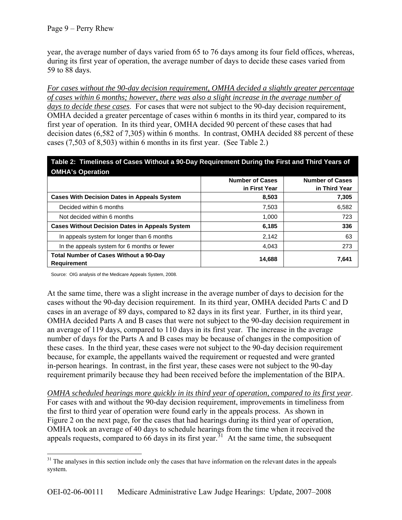year, the average number of days varied from 65 to 76 days among its four field offices, whereas, during its first year of operation, the average number of days to decide these cases varied from 59 to 88 days.

*For cases without the 90-day decision requirement, OMHA decided a slightly greater percentage of cases within 6 months; however, there was also a slight increase in the average number of days to decide these cases*. For cases that were not subject to the 90-day decision requirement, OMHA decided a greater percentage of cases within 6 months in its third year, compared to its first year of operation. In its third year, OMHA decided 90 percent of these cases that had decision dates (6,582 of 7,305) within 6 months. In contrast, OMHA decided 88 percent of these cases (7,503 of 8,503) within 6 months in its first year. (See Table 2.)

| Table 2: Timeliness of Cases Without a 90-Day Requirement During the First and Third Years of<br><b>OMHA's Operation</b> |                                         |                                         |
|--------------------------------------------------------------------------------------------------------------------------|-----------------------------------------|-----------------------------------------|
|                                                                                                                          | <b>Number of Cases</b><br>in First Year | <b>Number of Cases</b><br>in Third Year |
| <b>Cases With Decision Dates in Appeals System</b>                                                                       | 8,503                                   | 7,305                                   |
| Decided within 6 months                                                                                                  | 7,503                                   | 6,582                                   |
| Not decided within 6 months                                                                                              | 1,000                                   | 723                                     |
| <b>Cases Without Decision Dates in Appeals System</b>                                                                    | 6,185                                   | 336                                     |
| In appeals system for longer than 6 months                                                                               | 2,142                                   | 63                                      |
| In the appeals system for 6 months or fewer                                                                              | 4,043                                   | 273                                     |
| <b>Total Number of Cases Without a 90-Day</b><br><b>Requirement</b>                                                      | 14,688                                  | 7,641                                   |

Source: OIG analysis of the Medicare Appeals System, 2008.

At the same time, there was a slight increase in the average number of days to decision for the cases without the 90-day decision requirement. In its third year, OMHA decided Parts C and D cases in an average of 89 days, compared to 82 days in its first year. Further, in its third year, OMHA decided Parts A and B cases that were not subject to the 90-day decision requirement in an average of 119 days, compared to 110 days in its first year. The increase in the average number of days for the Parts A and B cases may be because of changes in the composition of these cases. In the third year, these cases were not subject to the 90-day decision requirement because, for example, the appellants waived the requirement or requested and were granted in-person hearings. In contrast, in the first year, these cases were not subject to the 90-day requirement primarily because they had been received before the implementation of the BIPA.

*OMHA scheduled hearings more quickly in its third year of operation, compared to its first year*. For cases with and without the 90-day decision requirement, improvements in timeliness from the first to third year of operation were found early in the appeals process. As shown in Figure 2 on the next page, for the cases that had hearings during its third year of operation, OMHA took an average of 40 days to schedule hearings from the time when it received the appeals requests, compared to  $66$  days in its first year.<sup>[31](#page-8-0)</sup> At the same time, the subsequent

<span id="page-8-0"></span> $\overline{a}$ <sup>31</sup> The analyses in this section include only the cases that have information on the relevant dates in the appeals system.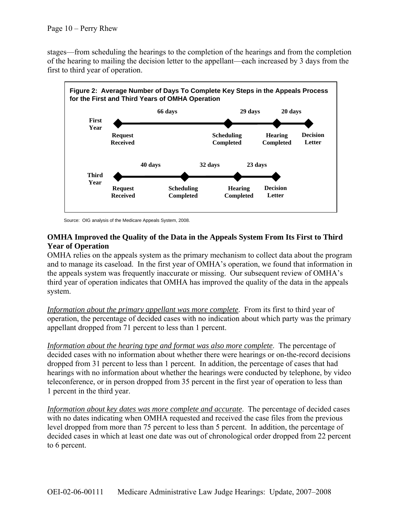stages—from scheduling the hearings to the completion of the hearings and from the completion of the hearing to mailing the decision letter to the appellant—each increased by 3 days from the first to third year of operation.



Source: OIG analysis of the Medicare Appeals System, 2008.

### **OMHA Improved the Quality of the Data in the Appeals System From Its First to Third Year of Operation**

OMHA relies on the appeals system as the primary mechanism to collect data about the program and to manage its caseload. In the first year of OMHA's operation, we found that information in the appeals system was frequently inaccurate or missing. Our subsequent review of OMHA's third year of operation indicates that OMHA has improved the quality of the data in the appeals system.

*Information about the primary appellant was more complete*. From its first to third year of operation, the percentage of decided cases with no indication about which party was the primary appellant dropped from 71 percent to less than 1 percent.

*Information about the hearing type and format was also more complete*. The percentage of decided cases with no information about whether there were hearings or on-the-record decisions dropped from 31 percent to less than 1 percent. In addition, the percentage of cases that had hearings with no information about whether the hearings were conducted by telephone, by video teleconference, or in person dropped from 35 percent in the first year of operation to less than 1 percent in the third year.

*Information about key dates was more complete and accurate*. The percentage of decided cases with no dates indicating when OMHA requested and received the case files from the previous level dropped from more than 75 percent to less than 5 percent. In addition, the percentage of decided cases in which at least one date was out of chronological order dropped from 22 percent to 6 percent.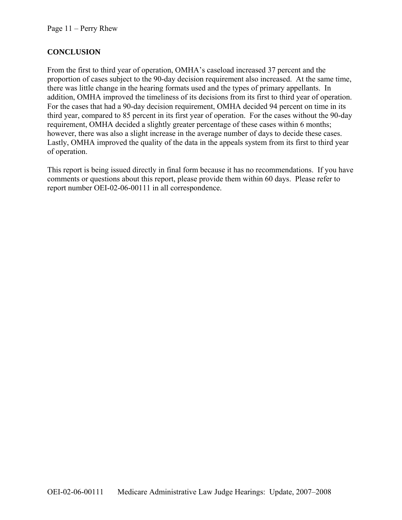# **CONCLUSION**

From the first to third year of operation, OMHA's caseload increased 37 percent and the proportion of cases subject to the 90-day decision requirement also increased. At the same time, there was little change in the hearing formats used and the types of primary appellants. In addition, OMHA improved the timeliness of its decisions from its first to third year of operation. For the cases that had a 90-day decision requirement, OMHA decided 94 percent on time in its third year, compared to 85 percent in its first year of operation. For the cases without the 90-day requirement, OMHA decided a slightly greater percentage of these cases within 6 months; however, there was also a slight increase in the average number of days to decide these cases. Lastly, OMHA improved the quality of the data in the appeals system from its first to third year of operation.

This report is being issued directly in final form because it has no recommendations. If you have comments or questions about this report, please provide them within 60 days. Please refer to report number OEI-02-06-00111 in all correspondence.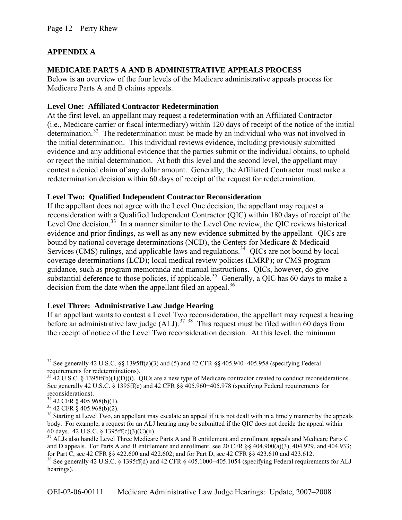# **APPENDIX A**

# **MEDICARE PARTS A AND B ADMINISTRATIVE APPEALS PROCESS**

Below is an overview of the four levels of the Medicare administrative appeals process for Medicare Parts A and B claims appeals.

# **Level One: Affiliated Contractor Redetermination**

At the first level, an appellant may request a redetermination with an Affiliated Contractor (i.e., Medicare carrier or fiscal intermediary) within 120 days of receipt of the notice of the initial determination.<sup>[32](#page-11-0)</sup> The redetermination must be made by an individual who was not involved in the initial determination. This individual reviews evidence, including previously submitted evidence and any additional evidence that the parties submit or the individual obtains, to uphold or reject the initial determination. At both this level and the second level, the appellant may contest a denied claim of any dollar amount. Generally, the Affiliated Contractor must make a redetermination decision within 60 days of receipt of the request for redetermination.

### **Level Two: Qualified Independent Contractor Reconsideration**

If the appellant does not agree with the Level One decision, the appellant may request a reconsideration with a Qualified Independent Contractor (QIC) within 180 days of receipt of the Level One decision.<sup>[33](#page-11-1)</sup> In a manner similar to the Level One review, the QIC reviews historical evidence and prior findings, as well as any new evidence submitted by the appellant. QICs are bound by national coverage determinations (NCD), the Centers for Medicare & Medicaid Services (CMS) rulings, and applicable laws and regulations.<sup>[34](#page-11-2)</sup> QICs are not bound by local coverage determinations (LCD); local medical review policies (LMRP); or CMS program guidance, such as program memoranda and manual instructions. QICs, however, do give substantial deference to those policies, if applicable.<sup>[35](#page-11-3)</sup> Generally, a QIC has 60 days to make a decision from the date when the appellant filed an appeal.<sup>[36](#page-11-4)</sup>

### **Level Three: Administrative Law Judge Hearing**

If an appellant wants to contest a Level Two reconsideration, the appellant may request a hearing before an administrative law judge  $(ALJ)$ .<sup>[37](#page-11-5)</sup> <sup>[38](#page-11-6)</sup> This request must be filed within 60 days from the receipt of notice of the Level Two reconsideration decision. At this level, the minimum

<span id="page-11-0"></span> $\overline{a}$ <sup>32</sup> See generally 42 U.S.C. §§ 1395ff(a)(3) and (5) and 42 CFR §§ 405.940–405.958 (specifying Federal requirements for redeterminations).

<span id="page-11-1"></span> $33$  42 U.S.C. § 1395ff(b)(1)(D)(i). QICs are a new type of Medicare contractor created to conduct reconsiderations. See generally 42 U.S.C. § 1395ff(c) and 42 CFR §§ 405.960−405.978 (specifying Federal requirements for reconsiderations).

<span id="page-11-2"></span><sup>34 42</sup> CFR § 405.968(b)(1).

<span id="page-11-3"></span> $35$  42 CFR § 405.968(b)(2).

<span id="page-11-4"></span><sup>&</sup>lt;sup>36</sup> Starting at Level Two, an appellant may escalate an appeal if it is not dealt with in a timely manner by the appeals body. For example, a request for an ALJ hearing may be submitted if the QIC does not decide the appeal within 60 days. 42 U.S.C. § 1395ff(c)(3)(C)(ii).

<span id="page-11-5"></span><sup>&</sup>lt;sup>37</sup> ALJs also handle Level Three Medicare Parts A and B entitlement and enrollment appeals and Medicare Parts C and D appeals. For Parts A and B entitlement and enrollment, see 20 CFR §§ 404.900(a)(3), 404.929, and 404.933; for Part C, see 42 CFR §§ 422.600 and 422.602; and for Part D, see 42 CFR §§ 423.610 and 423.612.

<span id="page-11-6"></span><sup>&</sup>lt;sup>38</sup> See generally 42 U.S.C. § 1395ff(d) and 42 CFR § 405.1000–405.1054 (specifying Federal requirements for ALJ hearings).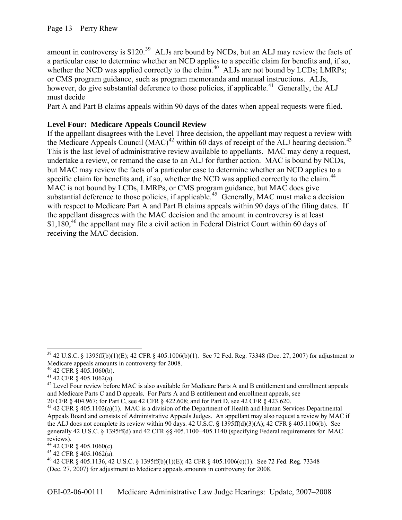amount in controversy is \$120.<sup>[39](#page-12-0)</sup> ALJs are bound by NCDs, but an ALJ may review the facts of a particular case to determine whether an NCD applies to a specific claim for benefits and, if so, whether the NCD was applied correctly to the claim.<sup>[40](#page-12-1)</sup> ALJs are not bound by LCDs; LMRPs; or CMS program guidance, such as program memoranda and manual instructions. ALJs, however, do give substantial deference to those policies, if applicable.<sup>[41](#page-12-2)</sup> Generally, the ALJ must decide

Part A and Part B claims appeals within 90 days of the dates when appeal requests were filed.

### **Level Four: Medicare Appeals Council Review**

specific claim for benefits and, if so, whether the NCD was applied correctly to the claim.<sup>44</sup> with respect to Medicare Part A and Part B claims appeals within 90 days of the filing dates. If \$1,180,<sup>[46](#page-12-6)</sup> the appellant may file a civil action in Federal District Court within 60 days of receiving the MAC decision. If the appellant disagrees with the Level Three decision, the appellant may request a review with the Medicare Appeals Council  $(MAC)^{42}$  $(MAC)^{42}$  $(MAC)^{42}$  within 60 days of receipt of the ALJ hearing decision.<sup>[43](#page-12-4)</sup> This is the last level of administrative review available to appellants. MAC may deny a request, undertake a review, or remand the case to an ALJ for further action. MAC is bound by NCDs, but MAC may review the facts of a particular case to determine whether an NCD applies to a MAC is not bound by LCDs, LMRPs, or CMS program guidance, but MAC does give substantial deference to those policies, if applicable.<sup>[45](#page-12-5)</sup> Generally, MAC must make a decision the appellant disagrees with the MAC decision and the amount in controversy is at least

<u>.</u>

```
45 42 CFR \frac{8}{9} 405.1062(a).
```
<span id="page-12-0"></span><sup>39 42</sup> U.S.C. § 1395ff(b)(1)(E); 42 CFR § 405.1006(b)(1). See 72 Fed. Reg. 73348 (Dec. 27, 2007) for adjustment to Medicare appeals amounts in controversy for 2008.

<span id="page-12-1"></span> $40\,42$  CFR  $\frac{2}{3}$  405.1060(b).

<span id="page-12-2"></span> $41$  42 CFR  $\frac{8}{9}$  405.1062(a).

<span id="page-12-3"></span> $^{42}$  Level Four review before MAC is also available for Medicare Parts A and B entitlement and enrollment appeals and Medicare Parts C and D appeals. For Parts A and B entitlement and enrollment appeals, see

<sup>20</sup> CFR § 404.967; for Part C, see 42 CFR § 422.608; and for Part D, see 42 CFR § 423.620.

<span id="page-12-4"></span><sup>43 42</sup> CFR § 405.1102(a)(1). MAC is a division of the Department of Health and Human Services Departmental Appeals Board and consists of Administrative Appeals Judges. An appellant may also request a review by MAC if the ALJ does not complete its review within 90 days. 42 U.S.C. § 1395ff(d)(3)(A); 42 CFR § 405.1106(b). See generally 42 U.S.C. § 1395ff(d) and 42 CFR §§ 405.1100−405.1140 (specifying Federal requirements for MAC reviews).

<span id="page-12-5"></span><sup>44 42</sup> CFR § 405.1060(c).

<sup>46 42</sup> CFR § 405.1136, 42 U.S.C. § 1395ff(b)(1)(E); 42 CFR § 405.1006(c)(1). See 72 Fed. Reg. 73348 (Dec. 27, 2007) for adjustment to Medicare appeals amounts in controversy for 2008.